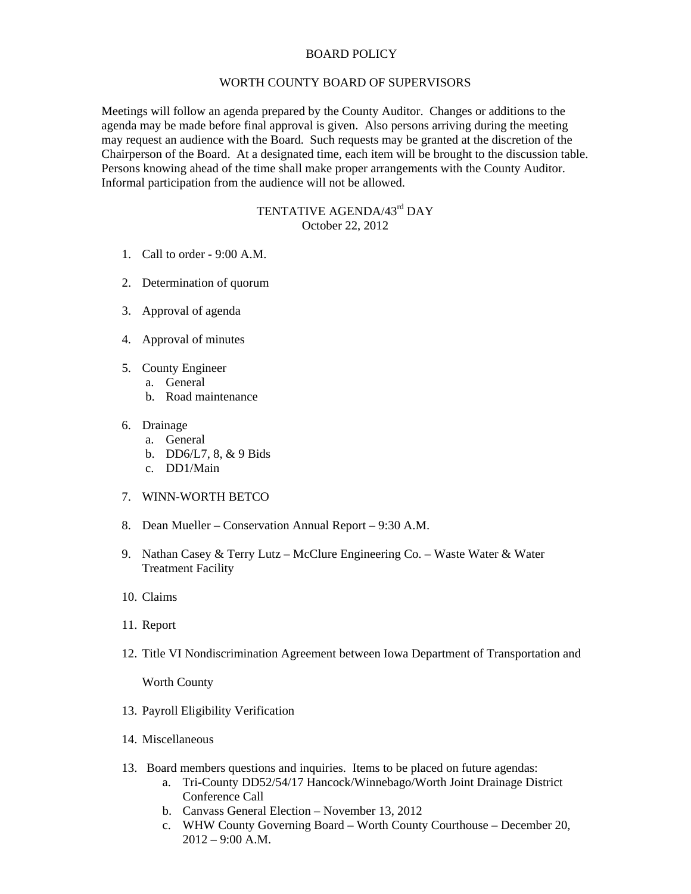## BOARD POLICY

## WORTH COUNTY BOARD OF SUPERVISORS

Meetings will follow an agenda prepared by the County Auditor. Changes or additions to the agenda may be made before final approval is given. Also persons arriving during the meeting may request an audience with the Board. Such requests may be granted at the discretion of the Chairperson of the Board. At a designated time, each item will be brought to the discussion table. Persons knowing ahead of the time shall make proper arrangements with the County Auditor. Informal participation from the audience will not be allowed.

## TENTATIVE AGENDA/43<sup>rd</sup> DAY October 22, 2012

- 1. Call to order 9:00 A.M.
- 2. Determination of quorum
- 3. Approval of agenda
- 4. Approval of minutes
- 5. County Engineer
	- a. General
	- b. Road maintenance
- 6. Drainage
	- a. General
	- b. DD6/L7, 8, & 9 Bids
	- c. DD1/Main
- 7. WINN-WORTH BETCO
- 8. Dean Mueller Conservation Annual Report 9:30 A.M.
- 9. Nathan Casey & Terry Lutz McClure Engineering Co. Waste Water & Water Treatment Facility
- 10. Claims
- 11. Report
- 12. Title VI Nondiscrimination Agreement between Iowa Department of Transportation and

Worth County

- 13. Payroll Eligibility Verification
- 14. Miscellaneous
- 13. Board members questions and inquiries. Items to be placed on future agendas:
	- a. Tri-County DD52/54/17 Hancock/Winnebago/Worth Joint Drainage District Conference Call
	- b. Canvass General Election November 13, 2012
	- c. WHW County Governing Board Worth County Courthouse December 20, 2012 – 9:00 A.M.